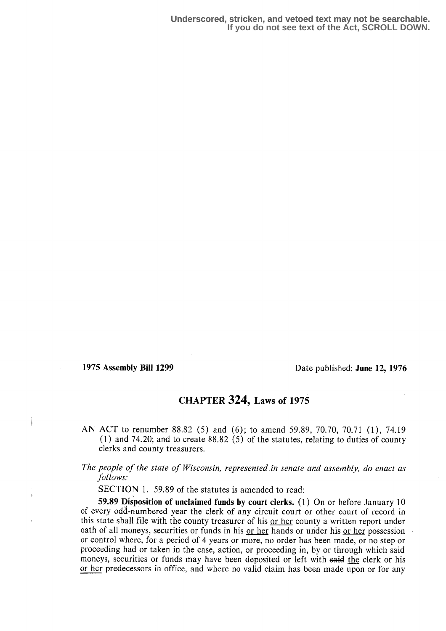1975 Assembly Bill 1299 Date published: June 12, 1976

## CHAPTER 324, Laws of 1975

AN ACT to renumber 88.82 (5) and (6); to amend 59.89, 70.70, 70.71 (1), 74.19 (1) and 74.20; and to create 88 .82 (5) of the statutes, relating to duties of county clerks and county treasurers.

## The people of the state of Wisconsin, represented in senate and assembly, do enact as follows:

SECTION 1. 59.89 of the statutes is amended to read:

59.89 Disposition of unclaimed funds by court clerks . (1) On or before January 10 of every odd-numbered year the clerk of any circuit court or other court of record in this state shall file with the county treasurer of his or her county a written report under oath of all moneys, securities or funds in his or her hands or under his or her possession or control where, for a period of 4 years or more, no order has been made, or no step or proceeding had or taken in the case, action, or proceeding in, by or through which said moneys, securities or funds may have been deposited or left with said the clerk or his or her predecessors in office, and where no valid claim has been made upon or for any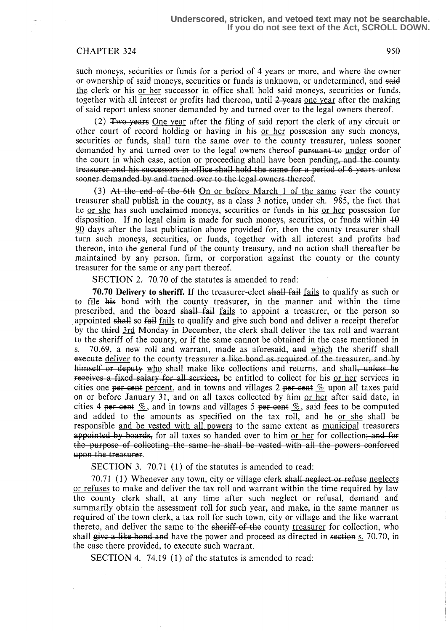## CHAPTER 324 950

such moneys, securities or funds for a period of 4 years or more, and where the owner or ownership of said moneys, securities or funds is unknown, or undetermined, and said the clerk or his or her successor in office shall hold said moneys, securities or funds, together with all interest or profits had thereon, until  $2$  years one year after the making of said report unless sooner demanded by and turned over to the legal owners thereof.

(2) Two years One year after the filing of said report the clerk of any circuit or other court of record holding or having in his or her possession any such moneys, securities or funds, shall turn the same over to the county treasurer, unless sooner demanded by and turned over to the legal owners thereof pursuant to under order of the court in which case, action or proceeding shall have been pending, and the county the court in which ease, action of proceeding sharp have been pending, and the county-<br>treasurer- and his successors in office shall hold the same for a period of 6 years unless sooner demanded by and turned over to the legal owners thereof.

(3) At the end of the 6th On or before March 1 of the same year the county treasurer shall publish in the county, as a class 3 notice, under ch. 985, the fact that he <u>or she</u> has such unclaimed moneys, securities or funds in his <u>or her</u> possession for disposition. If no legal claim is made for such moneys, securities, or funds within  $\overline{10}$ 90 days after the last publication above provided for, then the county treasurer shall turn such moneys, securities, or funds, together with all interest and profits had thereon, into the general fund of the county treasury, and no action shall thereafter be maintained by any person, firm, or corporation against the county or the county treasurer for the same or any part thereof.

SECTION 2. 70.70 of the statutes is amended to read:

70.70 Delivery to sheriff. If the treasurer-elect shall fail fails to qualify as such or to file his bond with the county treasurer, in the manner and within the time prescribed, and the board shall fail fails to appoint a treasurer, or the person so appointed shall so fail fails to qualify and give such bond and deliver a receipt therefor by the third 3rd Monday in December, the clerk shall deliver the tax roll and warrant to the sheriff of the county, or if the same cannot be obtained in the case mentioned in s. 70.69, a new roll and warrant, made as aforesaid, and which the sheriff shall 70.69, a new roll and warrant, made as aforesaid,  $\frac{1}{4}$  which the sheriff shall execute deliver to the county treasurer a like-bond as required of the treasurer, and by himself or deputy who shall make like collections and returns, and shall, unless be receives a fixed salary for all services, be entitled to collect for his or her services in cities one per cent percent, and in towns and villages 2 per cent  $\frac{N}{2}$  upon all taxes paid on or before January 31, and on all taxes collected by him or her after said date, in cities 4 per cent  $\frac{w}{2}$ , and in towns and villages 5 per-cent  $\frac{w}{2}$ , said fees to be computed and added to the amounts as specified on the tax roll, and he <u>or she</u> shall be responsible <u>and be vested with all pow</u> and added to the amounts as specified on the tax roll, and he or she shall be responsible and be vested with all powers to the same extent as municipal treasurers appointed by boards, for all taxes so handed over to him <u>or her</u> for collection; and for the purpose of collecting the same he shall be vested with all the powers conferred upon the treasurer.

SECTION 3. 70.71 (1) of the statutes is amended to read:

70.71 (1) Whenever any town, city or village clerk shall neglect or refuse neglects or refuses to make and deliver the tax roll and warrant within the time required by law the county clerk shall, at any time after such neglect or refusal, demand and summarily obtain the assessment roll for such year, and make, in the same manner as required of the town clerk, a tax roll for such town, city or village and the like warrant thereto, and deliver the same to the sheriff of the county treasurer for collection, who shall give a like bond and have the power and proceed as directed in section  $s$ . 70.70, in the case there provided, to execute such warrant.

SECTION 4. 74.19 (1) of the statutes is amended to read: